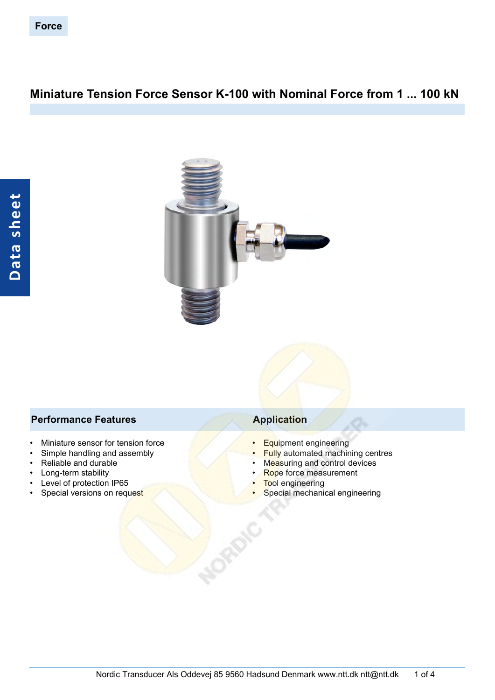# **Miniature Tension Force Sensor K-100 with Nominal Force from 1 ... 100 kN**



## **Performance Features Application**

- Miniature sensor for tension force
- Simple handling and assembly
- Reliable and durable
- Long-term stability
- Level of protection IP65
- Special versions on request

- Equipment engineering
- Fully automated machining centres
- Measuring and control devices
- Rope force measurement
- **Tool engineering**
- Special mechanical engineering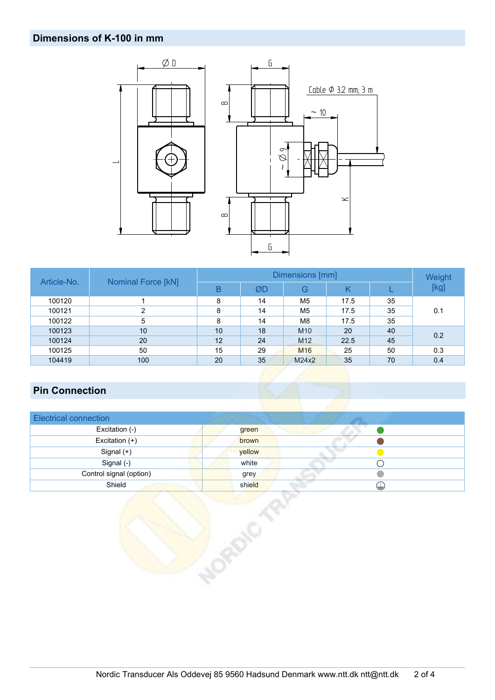## **Dimensions of K-100 in mm**



| Article-No. |                           |    | Weight |                 |      |    |      |  |  |
|-------------|---------------------------|----|--------|-----------------|------|----|------|--|--|
|             | <b>Nominal Force [kN]</b> | В  | ØD     | G               | Κ    |    | [kg] |  |  |
| 100120      |                           | 8  | 14     | M5              | 17.5 | 35 |      |  |  |
| 100121      | ົ                         | 8  | 14     | M <sub>5</sub>  | 17.5 | 35 | 0.1  |  |  |
| 100122      | 5                         | 8  | 14     | M8              | 17.5 | 35 |      |  |  |
| 100123      | 10                        | 10 | 18     | M <sub>10</sub> | 20   | 40 | 0.2  |  |  |
| 100124      | 20                        | 12 | 24     | M <sub>12</sub> | 22.5 | 45 |      |  |  |
| 100125      | 50                        | 15 | 29     | M <sub>16</sub> | 25   | 50 | 0.3  |  |  |
| 104419      | 100                       | 20 | 35     | M24x2           | 35   | 70 | 0.4  |  |  |

# **Pin Connection**

| <b>Electrical connection</b> |             |
|------------------------------|-------------|
| Excitation (-)               | green       |
| Excitation (+)               | brown       |
| Signal $(+)$                 | yellow      |
| Signal (-)                   | white       |
| Control signal (option)      | grey        |
| Shield                       | shield<br>₩ |

ONCI TO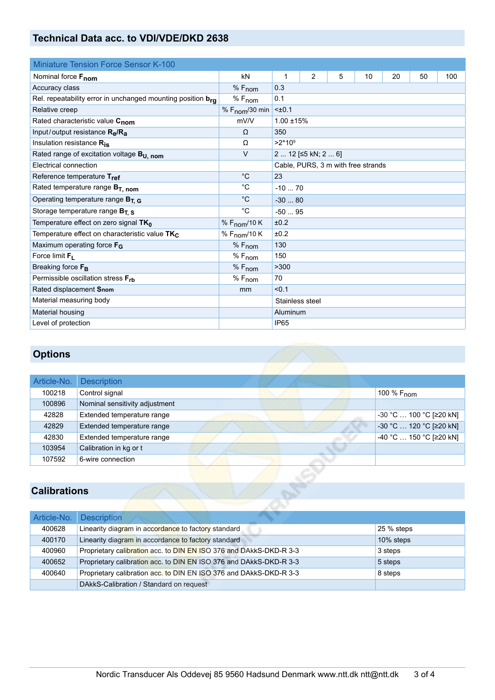## **Technical Data acc. to VDI/VDE/DKD 2638**

| <b>Miniature Tension Force Sensor K-100</b>                      |                            |                  |                     |   |                                    |    |    |     |  |
|------------------------------------------------------------------|----------------------------|------------------|---------------------|---|------------------------------------|----|----|-----|--|
| Nominal force Fnom                                               | kN                         | 1                | 2                   | 5 | 10                                 | 20 | 50 | 100 |  |
| Accuracy class                                                   | $%F_{nom}$                 | 0.3              |                     |   |                                    |    |    |     |  |
| Rel. repeatability error in unchanged mounting position $b_{r0}$ | % F <sub>nom</sub>         | 0.1              |                     |   |                                    |    |    |     |  |
| Relative creep                                                   | % $F_{\text{nom}}$ /30 min | $±0.1$           |                     |   |                                    |    |    |     |  |
| Rated characteristic value C <sub>nom</sub>                      | mV/V                       | $1.00 + 15%$     |                     |   |                                    |    |    |     |  |
| Input/output resistance Re/Ra                                    | Ω                          | 350              |                     |   |                                    |    |    |     |  |
| Insulation resistance Ris                                        | Ω                          | $>2*10^9$        |                     |   |                                    |    |    |     |  |
| Rated range of excitation voltage B <sub>U, nom</sub>            | $\vee$                     |                  | 2  12 [≤5 kN; 2  6] |   |                                    |    |    |     |  |
| Electrical connection                                            |                            |                  |                     |   | Cable, PURS, 3 m with free strands |    |    |     |  |
| Reference temperature Tref                                       | $^{\circ}C$                | 23               |                     |   |                                    |    |    |     |  |
| Rated temperature range $B_{T, nom}$                             | $^{\circ}C$                | $-1070$          |                     |   |                                    |    |    |     |  |
| Operating temperature range $B_{T, G}$                           | $^{\circ}C$                | $-3080$          |                     |   |                                    |    |    |     |  |
| Storage temperature range $B_{T, S}$                             | $^{\circ}C$                | $-5095$          |                     |   |                                    |    |    |     |  |
| Temperature effect on zero signal TK <sub>0</sub>                | % $F_{\text{nom}}$ /10 K   | ±0.2             |                     |   |                                    |    |    |     |  |
| Temperature effect on characteristic value TK <sub>C</sub>       | % F <sub>nom</sub> /10 K   | ±0.2             |                     |   |                                    |    |    |     |  |
| Maximum operating force $F_G$                                    | $%F_{nom}$                 | 130              |                     |   |                                    |    |    |     |  |
| Force limit $F_1$                                                | $%F_{nom}$                 | 150              |                     |   |                                    |    |    |     |  |
| Breaking force F <sub>B</sub>                                    | $%F_{nom}$                 | >300             |                     |   |                                    |    |    |     |  |
| Permissible oscillation stress Frb                               | $%F_{nom}$                 | 70               |                     |   |                                    |    |    |     |  |
| Rated displacement Snom                                          | mm                         | < 0.1            |                     |   |                                    |    |    |     |  |
| Material measuring body                                          |                            | Stainless steel  |                     |   |                                    |    |    |     |  |
| Material housing                                                 |                            | Aluminum         |                     |   |                                    |    |    |     |  |
| Level of protection                                              |                            | IP <sub>65</sub> |                     |   |                                    |    |    |     |  |

# **Options**

| Article-No. | <b>Description</b>             |                         |
|-------------|--------------------------------|-------------------------|
| 100218      | Control signal                 | 100 % $F_{\text{nom}}$  |
| 100896      | Nominal sensitivity adjustment |                         |
| 42828       | Extended temperature range     | -30 °C  100 °C [≥20 kN] |
| 42829       | Extended temperature range     | -30 °C  120 °C [≥20 kN] |
| 42830       | Extended temperature range     | -40 °C  150 °C [≥20 kN] |
| 103954      | Calibration in kg or t         |                         |
| 107592      | 6-wire connection              |                         |

# **Calibrations**

|        | Article-No. Description                                            |            |
|--------|--------------------------------------------------------------------|------------|
| 400628 | Linearity diagram in accordance to factory standard                | 25 % steps |
| 400170 | Linearity diagram in accordance to factory standard                | 10% steps  |
| 400960 | Proprietary calibration acc. to DIN EN ISO 376 and DAkkS-DKD-R 3-3 | 3 steps    |
| 400652 | Proprietary calibration acc. to DIN EN ISO 376 and DAkkS-DKD-R 3-3 | 5 steps    |
| 400640 | Proprietary calibration acc. to DIN EN ISO 376 and DAkkS-DKD-R 3-3 | 8 steps    |
|        | DAkkS-Calibration / Standard on request                            |            |